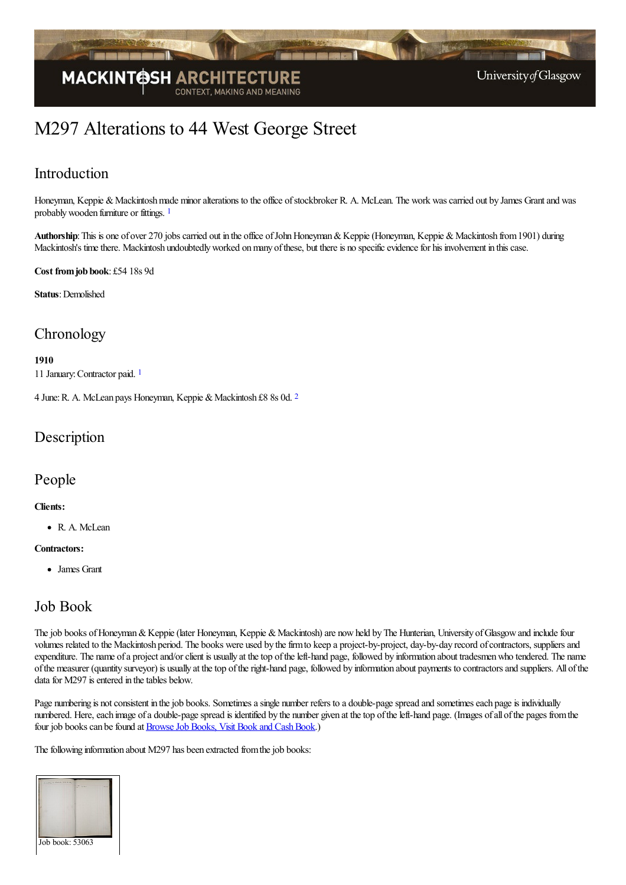

# M297 Alterations to 44 West George Street

### Introduction

<span id="page-0-0"></span>Honeyman, Keppie & Mackintosh made minor alterations to the office of stockbroker R. A. McLean. The work was carried out by James Grant and was probablywooden furniture or fittings. [1](#page-1-0)

Authorship: This is one of over 270 jobs carried out in the office of John Honeyman & Keppie (Honeyman, Keppie & Mackintosh from 1901) during Mackintosh's time there. Mackintosh undoubtedly worked on many of these, but there is no specific evidence for his involvement in this case.

#### **Cost fromjob book**: £54 18s 9d

**Status**: Demolished

### **Chronology**

**1910**

<span id="page-0-2"></span><span id="page-0-1"></span>11 January:Contractor paid. [1](#page-1-1)

4 June: R. A. McLean pays Honeyman, Keppie & Mackintosh £8 8s 0d. <sup>[2](#page-1-2)</sup>

### **Description**

### People

#### **Clients:**

R. A. McLean

#### **Contractors:**

James Grant

### Job Book

The job books of Honeyman & Keppie (later Honeyman, Keppie & Mackintosh) are now held by The Hunterian, University of Glasgow and include four volumes related to the Mackintosh period. The books were used by thefirmto keep a project-by-project, day-by-day record ofcontractors, suppliersand expenditure. The name of a project and/or client is usually at the top of the left-hand page, followed by information about tradesmen who tendered. The name ofthe measurer (quantity surveyor) is usually at thetop oftheright-hand page, followed by information about payments to contractorsand suppliers. All ofthe data for M297 is entered in the tables below.

Page numbering is not consistent in the job books. Sometimes a single number refers to a double-page spread and sometimes each page is individually numbered. Here, each image of a double-page spread is identified by the number given at the top of the left-hand page. (Images of all of the pages from the four job books can be found at Browse Job Books, Visit Book and Cash Book.)

The following information about M297 has been extracted from the job books: